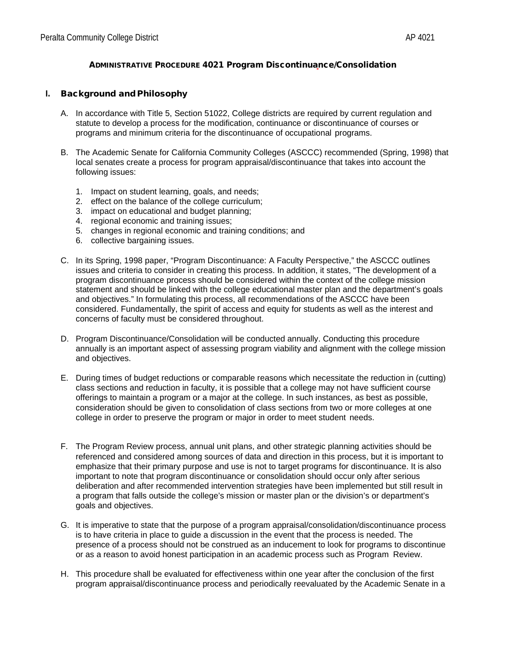## ADMINISTRATIVE PROCEDURE 4021 Program Discontinuance/Consolidation

## I. Background and Philosophy

- A. In accordance with Title 5, Section 51022, College districts are required by current regulation and statute to develop a process for the modification, continuance or discontinuance of courses or programs and minimum criteria for the discontinuance of occupational programs.
- B. The Academic Senate for California Community Colleges (ASCCC) recommended (Spring, 1998) that local senates create a process for program appraisal/discontinuance that takes into account the following issues:
	- 1. Impact on student learning, goals, and needs;
	- 2. effect on the balance of the college curriculum;
	- 3. impact on educational and budget planning;
	- 4. regional economic and training issues;
	- 5. changes in regional economic and training conditions; and
	- 6. collective bargaining issues.
- C. In its Spring, 1998 paper, "Program Discontinuance: A Faculty Perspective," the ASCCC outlines issues and criteria to consider in creating this process. In addition, it states, "The development of a program discontinuance process should be considered within the context of the college mission statement and should be linked with the college educational master plan and the department's goals and objectives." In formulating this process, all recommendations of the ASCCC have been considered. Fundamentally, the spirit of access and equity for students as well as the interest and concerns of faculty must be considered throughout.
- D. Program Discontinuance/Consolidation will be conducted annually. Conducting this procedure annually is an important aspect of assessing program viability and alignment with the college mission and objectives.
- E. During times of budget reductions or comparable reasons which necessitate the reduction in (cutting) class sections and reduction in faculty, it is possible that a college may not have sufficient course offerings to maintain a program or a major at the college. In such instances, as best as possible, consideration should be given to consolidation of class sections from two or more colleges at one college in order to preserve the program or major in order to meet student needs.
- F. The Program Review process, annual unit plans, and other strategic planning activities should be referenced and considered among sources of data and direction in this process, but it is important to emphasize that their primary purpose and use is not to target programs for discontinuance. It is also important to note that program discontinuance or consolidation should occur only after serious deliberation and after recommended intervention strategies have been implemented but still result in a program that falls outside the college's mission or master plan or the division's or department's goals and objectives.
- G. It is imperative to state that the purpose of a program appraisal/consolidation/discontinuance process is to have criteria in place to guide a discussion in the event that the process is needed. The presence of a process should not be construed as an inducement to look for programs to discontinue or as a reason to avoid honest participation in an academic process such as Program Review.
- H. This procedure shall be evaluated for effectiveness within one year after the conclusion of the first program appraisal/discontinuance process and periodically reevaluated by the Academic Senate in a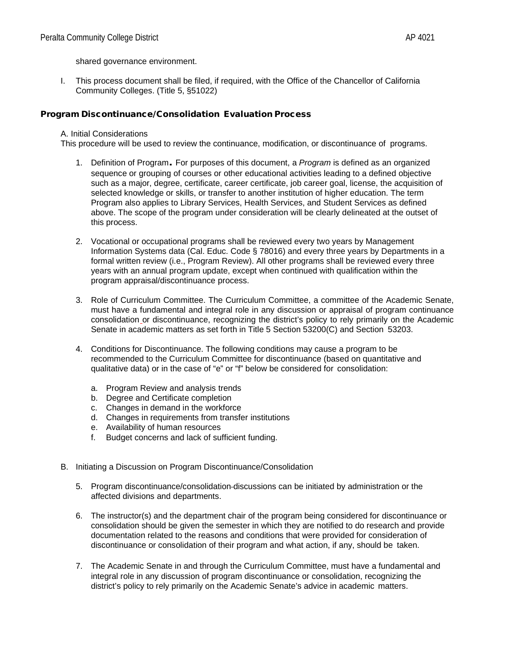shared governance environment.

I. This process document shall be filed, if required, with the Office of the Chancellor of California Community Colleges. (Title 5, §51022)

## Program Discontinuance/Consolidation Evaluation Process

A. Initial Considerations

This procedure will be used to review the continuance, modification, or discontinuance of programs.

- 1. Definition of Program. For purposes of this document, a *Program* is defined as an organized sequence or grouping of courses or other educational activities leading to a defined objective such as a major, degree, certificate, career certificate, job career goal, license, the acquisition of selected knowledge or skills, or transfer to another institution of higher education. The term Program also applies to Library Services, Health Services, and Student Services as defined above. The scope of the program under consideration will be clearly delineated at the outset of this process.
- 2. Vocational or occupational programs shall be reviewed every two years by Management Information Systems data (Cal. Educ. Code § 78016) and every three years by Departments in a formal written review (i.e., Program Review). All other programs shall be reviewed every three years with an annual program update, except when continued with qualification within the program appraisal/discontinuance process.
- 3. Role of Curriculum Committee. The Curriculum Committee, a committee of the Academic Senate, must have a fundamental and integral role in any discussion or appraisal of program continuance consolidation or discontinuance, recognizing the district's policy to rely primarily on the Academic Senate in academic matters as set forth in Title 5 Section 53200(C) and Section 53203.
- 4. Conditions for Discontinuance. The following conditions may cause a program to be recommended to the Curriculum Committee for discontinuance (based on quantitative and qualitative data) or in the case of "e" or "f" below be considered for consolidation:
	- a. Program Review and analysis trends
	- b. Degree and Certificate completion
	- c. Changes in demand in the workforce
	- d. Changes in requirements from transfer institutions
	- e. Availability of human resources
	- f. Budget concerns and lack of sufficient funding.
- B. Initiating a Discussion on Program Discontinuance/Consolidation
	- 5. Program discontinuance/consolidation discussions can be initiated by administration or the affected divisions and departments.
	- 6. The instructor(s) and the department chair of the program being considered for discontinuance or consolidation should be given the semester in which they are notified to do research and provide documentation related to the reasons and conditions that were provided for consideration of discontinuance or consolidation of their program and what action, if any, should be taken.
	- 7. The Academic Senate in and through the Curriculum Committee, must have a fundamental and integral role in any discussion of program discontinuance or consolidation, recognizing the district's policy to rely primarily on the Academic Senate's advice in academic matters.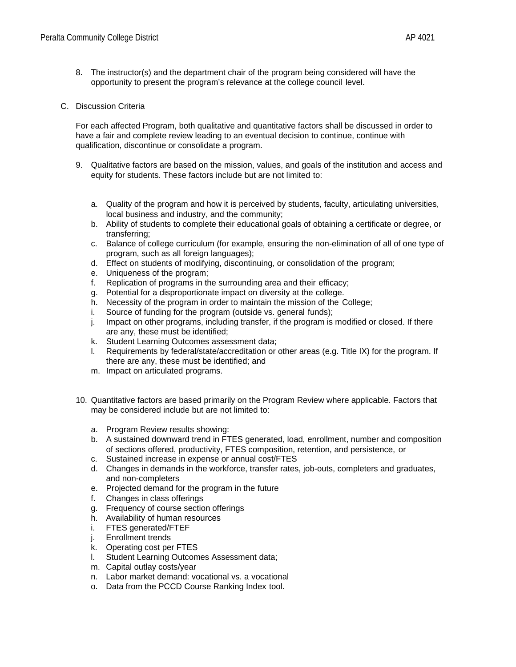- 8. The instructor(s) and the department chair of the program being considered will have the opportunity to present the program's relevance at the college council level.
- C. Discussion Criteria

For each affected Program, both qualitative and quantitative factors shall be discussed in order to have a fair and complete review leading to an eventual decision to continue, continue with qualification, discontinue or consolidate a program.

- 9. Qualitative factors are based on the mission, values, and goals of the institution and access and equity for students. These factors include but are not limited to:
	- a. Quality of the program and how it is perceived by students, faculty, articulating universities, local business and industry, and the community;
	- b. Ability of students to complete their educational goals of obtaining a certificate or degree, or transferring;
	- c. Balance of college curriculum (for example, ensuring the non-elimination of all of one type of program, such as all foreign languages);
	- d. Effect on students of modifying, discontinuing, or consolidation of the program;
	- e. Uniqueness of the program;
	- f. Replication of programs in the surrounding area and their efficacy;
	- g. Potential for a disproportionate impact on diversity at the college.
	- h. Necessity of the program in order to maintain the mission of the College;
	- i. Source of funding for the program (outside vs. general funds);
	- j. Impact on other programs, including transfer, if the program is modified or closed. If there are any, these must be identified;
	- k. Student Learning Outcomes assessment data;
	- l. Requirements by federal/state/accreditation or other areas (e.g. Title IX) for the program. If there are any, these must be identified; and
	- m. Impact on articulated programs.
- 10. Quantitative factors are based primarily on the Program Review where applicable. Factors that may be considered include but are not limited to:
	- a. Program Review results showing:
	- b. A sustained downward trend in FTES generated, load, enrollment, number and composition of sections offered, productivity, FTES composition, retention, and persistence, or
	- c. Sustained increase in expense or annual cost/FTES
	- d. Changes in demands in the workforce, transfer rates, job-outs, completers and graduates, and non-completers
	- e. Projected demand for the program in the future
	- f. Changes in class offerings
	- g. Frequency of course section offerings
	- h. Availability of human resources
	- i. FTES generated/FTEF
	- j. Enrollment trends
	- k. Operating cost per FTES
	- l. Student Learning Outcomes Assessment data;
	- m. Capital outlay costs/year
	- n. Labor market demand: vocational vs. a vocational
	- o. Data from the PCCD Course Ranking Index tool.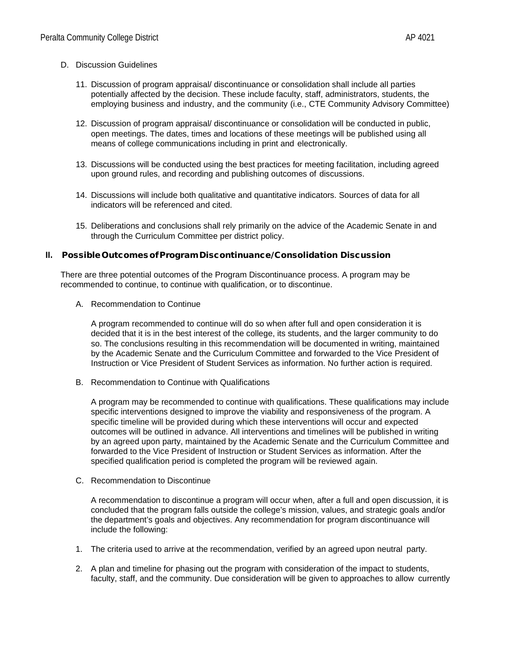- 11. Discussion of program appraisal/ discontinuance or consolidation shall include all parties potentially affected by the decision. These include faculty, staff, administrators, students, the employing business and industry, and the community (i.e., CTE Community Advisory Committee)
- 12. Discussion of program appraisal/ discontinuance or consolidation will be conducted in public, open meetings. The dates, times and locations of these meetings will be published using all means of college communications including in print and electronically.
- 13. Discussions will be conducted using the best practices for meeting facilitation, including agreed upon ground rules, and recording and publishing outcomes of discussions.
- 14. Discussions will include both qualitative and quantitative indicators. Sources of data for all indicators will be referenced and cited.
- 15. Deliberations and conclusions shall rely primarily on the advice of the Academic Senate in and through the Curriculum Committee per district policy.

## II. PossibleOutcomesofProgramDiscontinuance/Consolidation Discussion

There are three potential outcomes of the Program Discontinuance process. A program may be recommended to continue, to continue with qualification, or to discontinue.

A. Recommendation to Continue

A program recommended to continue will do so when after full and open consideration it is decided that it is in the best interest of the college, its students, and the larger community to do so. The conclusions resulting in this recommendation will be documented in writing, maintained by the Academic Senate and the Curriculum Committee and forwarded to the Vice President of Instruction or Vice President of Student Services as information. No further action is required.

B. Recommendation to Continue with Qualifications

A program may be recommended to continue with qualifications. These qualifications may include specific interventions designed to improve the viability and responsiveness of the program. A specific timeline will be provided during which these interventions will occur and expected outcomes will be outlined in advance. All interventions and timelines will be published in writing by an agreed upon party, maintained by the Academic Senate and the Curriculum Committee and forwarded to the Vice President of Instruction or Student Services as information. After the specified qualification period is completed the program will be reviewed again.

C. Recommendation to Discontinue

A recommendation to discontinue a program will occur when, after a full and open discussion, it is concluded that the program falls outside the college's mission, values, and strategic goals and/or the department's goals and objectives. Any recommendation for program discontinuance will include the following:

- 1. The criteria used to arrive at the recommendation, verified by an agreed upon neutral party.
- 2. A plan and timeline for phasing out the program with consideration of the impact to students, faculty, staff, and the community. Due consideration will be given to approaches to allow currently